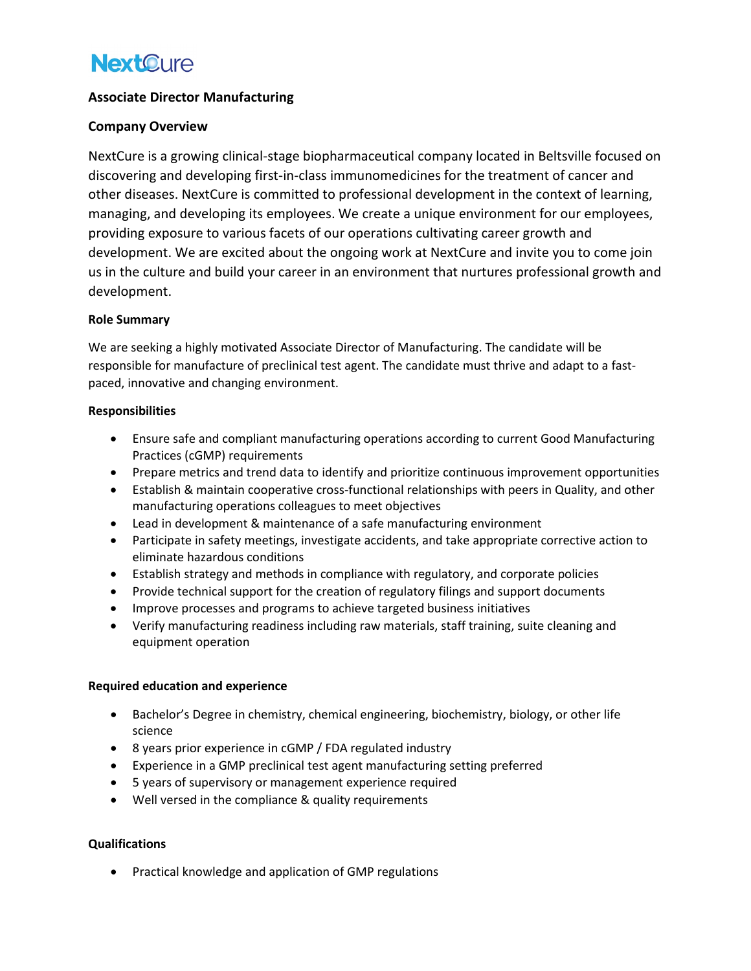## **Next Cure**

## **Associate Director Manufacturing**

### **Company Overview**

NextCure is a growing clinical-stage biopharmaceutical company located in Beltsville focused on discovering and developing first-in-class immunomedicines for the treatment of cancer and other diseases. NextCure is committed to professional development in the context of learning, managing, and developing its employees. We create a unique environment for our employees, providing exposure to various facets of our operations cultivating career growth and development. We are excited about the ongoing work at NextCure and invite you to come join us in the culture and build your career in an environment that nurtures professional growth and development.

#### **Role Summary**

We are seeking a highly motivated Associate Director of Manufacturing. The candidate will be responsible for manufacture of preclinical test agent. The candidate must thrive and adapt to a fastpaced, innovative and changing environment.

#### **Responsibilities**

- Ensure safe and compliant manufacturing operations according to current Good Manufacturing Practices (cGMP) requirements
- Prepare metrics and trend data to identify and prioritize continuous improvement opportunities
- Establish & maintain cooperative cross-functional relationships with peers in Quality, and other manufacturing operations colleagues to meet objectives
- Lead in development & maintenance of a safe manufacturing environment
- Participate in safety meetings, investigate accidents, and take appropriate corrective action to eliminate hazardous conditions
- Establish strategy and methods in compliance with regulatory, and corporate policies
- Provide technical support for the creation of regulatory filings and support documents
- Improve processes and programs to achieve targeted business initiatives
- Verify manufacturing readiness including raw materials, staff training, suite cleaning and equipment operation

#### **Required education and experience**

- Bachelor's Degree in chemistry, chemical engineering, biochemistry, biology, or other life science
- 8 years prior experience in cGMP / FDA regulated industry
- Experience in a GMP preclinical test agent manufacturing setting preferred
- 5 years of supervisory or management experience required
- Well versed in the compliance & quality requirements

## **Qualifications**

• Practical knowledge and application of GMP regulations